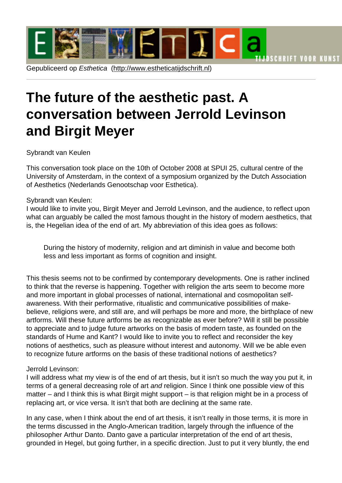# The future of t[he aesthetic pas](http://www.estheticatijdschrift.nl)t. A conversation between Jerrold Levinson and Birgit Meyer

## Sybrandt van Keulen

This conversation took place on the 10th of October 2008 at SPUI 25, cultural centre of the University of Amsterdam, in the context of a symposium organized by the Dutch Association of Aesthetics (Nederlands Genootschap voor Esthetica).

## Sybrandt van Keulen:

I would like to invite you, Birgit Meyer and Jerrold Levinson, and the audience, to reflect upon what can arguably be called the most famous thought in the history of modern aesthetics, that is, the Hegelian idea of the end of art. My abbreviation of this idea goes as follows:

During the history of modernity, religion and art diminish in value and become both less and less important as forms of cognition and insight.

This thesis seems not to be confirmed by contemporary developments. One is rather inclined to think that the reverse is happening. Together with religion the arts seem to become more and more important in global processes of national, international and cosmopolitan selfawareness. With their performative, ritualistic and communicative possibilities of makebelieve, religions were, and still are, and will perhaps be more and more, the birthplace of new artforms. Will these future artforms be as recognizable as ever before? Will it still be possible to appreciate and to judge future artworks on the basis of modern taste, as founded on the standards of Hume and Kant? I would like to invite you to reflect and reconsider the key notions of aesthetics, such as pleasure without interest and autonomy. Will we be able even to recognize future artforms on the basis of these traditional notions of aesthetics?

## Jerrold Levinson:

I will address what my view is of the end of art thesis, but it isn't so much the way you put it, in terms of a general decreasing role of art and religion. Since I think one possible view of this matter – and I think this is what Birgit might support – is that religion might be in a process of replacing art, or vice versa. It isn't that both are declining at the same rate.

In any case, when I think about the end of art thesis, it isn't really in those terms, it is more in the terms discussed in the Anglo-American tradition, largely through the influence of the philosopher Arthur Danto. Danto gave a particular interpretation of the end of art thesis, grounded in Hegel, but going further, in a specific direction. Just to put it very bluntly, the end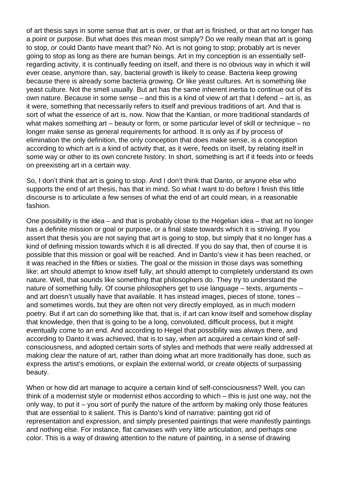of art thesis says in some sense that art is over, or that art is finished, or that art no longer has a point or purpose. But what does this mean most simply? Do we really mean that art is going to stop, or could Danto have meant that? No. Art is not going to stop; probably art is never going to stop as long as there are human beings. Art in my conception is an essentially selfregarding activity, it is continually feeding on itself, and there is no obvious way in which it will ever cease, anymore than, say, bacterial growth is likely to cease. Bacteria keep growing because there is already some bacteria growing. Or like yeast cultures. Art is something like yeast culture. Not the smell usually. But art has the same inherent inertia to continue out of its own nature. Because in some sense – and this is a kind of view of art that I defend – art is, as it were, something that necessarily refers to itself and previous traditions of art. And that is sort of what the essence of art is, now. Now that the Kantian, or more traditional standards of what makes something art – beauty or form, or some particular level of skill or technique – no longer make sense as general requirements for arthood. It is only as if by process of elimination the only definition, the only conception that does make sense, is a conception according to which art is a kind of activity that, as it were, feeds on itself, by relating itself in some way or other to its own concrete history. In short, something is art if it feeds into or feeds on preexisting art in a certain way.

So, I don't think that art is going to stop. And I don't think that Danto, or anyone else who supports the end of art thesis, has that in mind. So what I want to do before I finish this little discourse is to articulate a few senses of what the end of art could mean, in a reasonable fashion.

One possibility is the idea – and that is probably close to the Hegelian idea – that art no longer has a definite mission or goal or purpose, or a final state towards which it is striving. If you assert that thesis you are not saying that art is going to stop, but simply that it no longer has a kind of defining mission towards which it is all directed. If you do say that, then of course it is possible that this mission or goal will be reached. And in Danto's view it has been reached, or it was reached in the fifties or sixties. The goal or the mission in those days was something like: art should attempt to know itself fully, art should attempt to completely understand its own nature. Well, that sounds like something that philosophers do. They try to understand the nature of something fully. Of course philosophers get to use language – texts, arguments – and art doesn't usually have that available. It has instead images, pieces of stone, tones – and sometimes words, but they are often not very directly employed, as in much modern poetry. But if art can do something like that, that is, if art can know itself and somehow display that knowledge, then that is going to be a long, convoluted, difficult process, but it might eventually come to an end. And according to Hegel that possibility was always there, and according to Danto it was achieved, that is to say, when art acquired a certain kind of selfconsciousness, and adopted certain sorts of styles and methods that were really addressed at making clear the nature of art, rather than doing what art more traditionally has done, such as express the artist's emotions, or explain the external world, or create objects of surpassing beauty.

When or how did art manage to acquire a certain kind of self-consciousness? Well, you can think of a modernist style or modernist ethos according to which – this is just one way, not the only way, to put it – you sort of purify the nature of the artform by making only those features that are essential to it salient. This is Danto's kind of narrative: painting got rid of representation and expression, and simply presented paintings that were manifestly paintings and nothing else. For instance, flat canvases with very little articulation, and perhaps one color. This is a way of drawing attention to the nature of painting, in a sense of drawing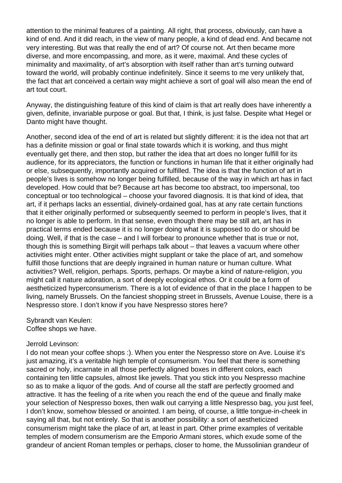attention to the minimal features of a painting. All right, that process, obviously, can have a kind of end. And it did reach, in the view of many people, a kind of dead end. And became not very interesting. But was that really the end of art? Of course not. Art then became more diverse, and more encompassing, and more, as it were, maximal. And these cycles of minimality and maximality, of art's absorption with itself rather than art's turning outward toward the world, will probably continue indefinitely. Since it seems to me very unlikely that, the fact that art conceived a certain way might achieve a sort of goal will also mean the end of art tout court.

Anyway, the distinguishing feature of this kind of claim is that art really does have inherently a given, definite, invariable purpose or goal. But that, I think, is just false. Despite what Hegel or Danto might have thought.

Another, second idea of the end of art is related but slightly different: it is the idea not that art has a definite mission or goal or final state towards which it is working, and thus might eventually get there, and then stop, but rather the idea that art does no longer fulfill for its audience, for its appreciators, the function or functions in human life that it either originally had or else, subsequently, importantly acquired or fulfilled. The idea is that the function of art in people's lives is somehow no longer being fulfilled, because of the way in which art has in fact developed. How could that be? Because art has become too abstract, too impersonal, too conceptual or too technological – choose your favored diagnosis. It is that kind of idea, that art, if it perhaps lacks an essential, divinely-ordained goal, has at any rate certain functions that it either originally performed or subsequently seemed to perform in people's lives, that it no longer is able to perform. In that sense, even though there may be still art, art has in practical terms ended because it is no longer doing what it is supposed to do or should be doing. Well, if that is the case – and I will forbear to pronounce whether that is true or not, though this is something Birgit will perhaps talk about – that leaves a vacuum where other activities might enter. Other activities might supplant or take the place of art, and somehow fulfill those functions that are deeply ingrained in human nature or human culture. What activities? Well, religion, perhaps. Sports, perhaps. Or maybe a kind of nature-religion, you might call it nature adoration, a sort of deeply ecological ethos. Or it could be a form of aestheticized hyperconsumerism. There is a lot of evidence of that in the place I happen to be living, namely Brussels. On the fanciest shopping street in Brussels, Avenue Louise, there is a Nespresso store. I don't know if you have Nespresso stores here?

Sybrandt van Keulen: Coffee shops we have.

#### Jerrold Levinson:

I do not mean your coffee shops :). When you enter the Nespresso store on Ave. Louise it's just amazing, it's a veritable high temple of consumerism. You feel that there is something sacred or holy, incarnate in all those perfectly aligned boxes in different colors, each containing ten little capsules, almost like jewels. That you stick into you Nespresso machine so as to make a liquor of the gods. And of course all the staff are perfectly groomed and attractive. It has the feeling of a rite when you reach the end of the queue and finally make your selection of Nespresso boxes, then walk out carrying a little Nespresso bag, you just feel, I don't know, somehow blessed or anointed. I am being, of course, a little tongue-in-cheek in saying all that, but not entirely. So that is another possibility: a sort of aestheticized consumerism might take the place of art, at least in part. Other prime examples of veritable temples of modern consumerism are the Emporio Armani stores, which exude some of the grandeur of ancient Roman temples or perhaps, closer to home, the Mussolinian grandeur of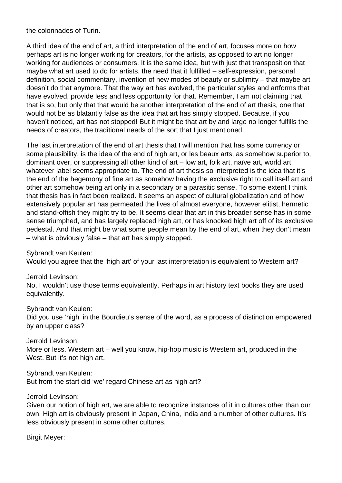the colonnades of Turin.

A third idea of the end of art, a third interpretation of the end of art, focuses more on how perhaps art is no longer working for creators, for the artists, as opposed to art no longer working for audiences or consumers. It is the same idea, but with just that transposition that maybe what art used to do for artists, the need that it fulfilled – self-expression, personal definition, social commentary, invention of new modes of beauty or sublimity – that maybe art doesn't do that anymore. That the way art has evolved, the particular styles and artforms that have evolved, provide less and less opportunity for that. Remember, I am not claiming that that is so, but only that that would be another interpretation of the end of art thesis, one that would not be as blatantly false as the idea that art has simply stopped. Because, if you haven't noticed, art has not stopped! But it might be that art by and large no longer fulfills the needs of creators, the traditional needs of the sort that I just mentioned.

The last interpretation of the end of art thesis that I will mention that has some currency or some plausibility, is the idea of the end of high art, or les beaux arts, as somehow superior to, dominant over, or suppressing all other kind of art – low art, folk art, naïve art, world art, whatever label seems appropriate to. The end of art thesis so interpreted is the idea that it's the end of the hegemony of fine art as somehow having the exclusive right to call itself art and other art somehow being art only in a secondary or a parasitic sense. To some extent I think that thesis has in fact been realized. It seems an aspect of cultural globalization and of how extensively popular art has permeated the lives of almost everyone, however elitist, hermetic and stand-offish they might try to be. It seems clear that art in this broader sense has in some sense triumphed, and has largely replaced high art, or has knocked high art off of its exclusive pedestal. And that might be what some people mean by the end of art, when they don't mean – what is obviously false – that art has simply stopped.

Sybrandt van Keulen:

Would you agree that the 'high art' of your last interpretation is equivalent to Western art?

Jerrold Levinson:

No, I wouldn't use those terms equivalently. Perhaps in art history text books they are used equivalently.

Sybrandt van Keulen:

Did you use 'high' in the Bourdieu's sense of the word, as a process of distinction empowered by an upper class?

Jerrold Levinson: More or less. Western art – well you know, hip-hop music is Western art, produced in the West. But it's not high art.

Sybrandt van Keulen: But from the start did 'we' regard Chinese art as high art?

Jerrold Levinson:

Given our notion of high art, we are able to recognize instances of it in cultures other than our own. High art is obviously present in Japan, China, India and a number of other cultures. It's less obviously present in some other cultures.

Birgit Meyer: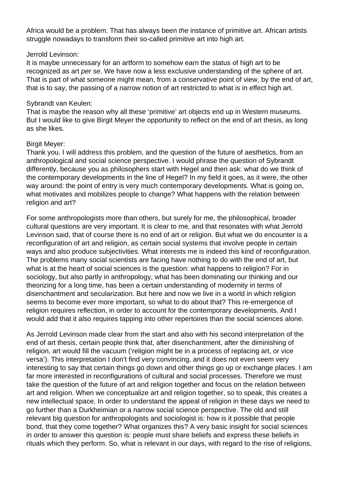Africa would be a problem. That has always been the instance of primitive art. African artists struggle nowadays to transform their so-called primitive art into high art.

#### Jerrold Levinson:

It is maybe unnecessary for an artform to somehow earn the status of high art to be recognized as art per se. We have now a less exclusive understanding of the sphere of art. That is part of what someone might mean, from a conservative point of view, by the end of art, that is to say, the passing of a narrow notion of art restricted to what is in effect high art.

#### Sybrandt van Keulen:

That is maybe the reason why all these 'primitive' art objects end up in Western museums. But I would like to give Birgit Meyer the opportunity to reflect on the end of art thesis, as long as she likes.

#### Birgit Meyer:

Thank you. I will address this problem, and the question of the future of aesthetics, from an anthropological and social science perspective. I would phrase the question of Sybrandt differently, because you as philosophers start with Hegel and then ask: what do we think of the contemporary developments in the line of Hegel? In my field it goes, as it were, the other way around: the point of entry is very much contemporary developments. What is going on, what motivates and mobilizes people to change? What happens with the relation between religion and art?

For some anthropologists more than others, but surely for me, the philosophical, broader cultural questions are very important. It is clear to me, and that resonates with what Jerrold Levinson said, that of course there is no end of art or religion. But what we do encounter is a reconfiguration of art and religion, as certain social systems that involve people in certain ways and also produce subjectivities. What interests me is indeed this kind of reconfiguration. The problems many social scientists are facing have nothing to do with the end of art, but what is at the heart of social sciences is the question: what happens to religion? For in sociology, but also partly in anthropology, what has been dominating our thinking and our theorizing for a long time, has been a certain understanding of modernity in terms of disenchantment and secularization. But here and now we live in a world in which religion seems to become ever more important, so what to do about that? This re-emergence of religion requires reflection, in order to account for the contemporary developments. And I would add that it also requires tapping into other repertoires than the social sciences alone.

As Jerrold Levinson made clear from the start and also with his second interpretation of the end of art thesis, certain people think that, after disenchantment, after the diminishing of religion, art would fill the vacuum ('religion might be in a process of replacing art, or vice versa'). This interpretation I don't find very convincing, and it does not even seem very interesting to say that certain things go down and other things go up or exchange places. I am far more interested in reconfigurations of cultural and social processes. Therefore we must take the question of the future of art and religion together and focus on the relation between art and religion. When we conceptualize art and religion together, so to speak, this creates a new intellectual space. In order to understand the appeal of religion in these days we need to go further than a Durkheimian or a narrow social science perspective. The old and still relevant big question for anthropologists and sociologist is: how is it possible that people bond, that they come together? What organizes this? A very basic insight for social sciences in order to answer this question is: people must share beliefs and express these beliefs in rituals which they perform. So, what is relevant in our days, with regard to the rise of religions,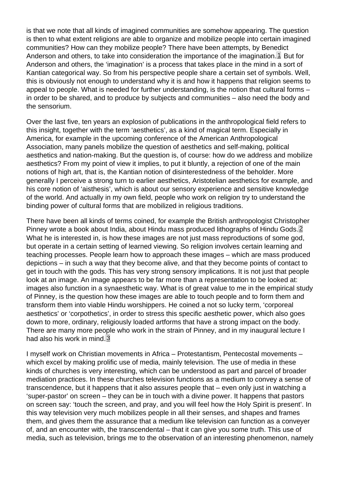<span id="page-5-0"></span>is that we note that all kinds of imagined communities are somehow appearing. The question is then to what extent religions are able to organize and mobilize people into certain imagined communities? How can they mobilize people? There have been attempts, by Benedict Anderson and others, to take into consideration the importance of the imagination.  $1$  But for Anderson and others, the 'imagination' is a process that takes place in the mind in a sort of Kantian categorical way. So from his perspective people share a certain set of symbols. Well, this is obviously not enough to understand why it is and how it happens that religion seems to appeal to people. What is needed for further understanding, is the notion that cultural forms – in order to be shared, and to produce by subjects and communities – also need the body and the sensorium.

Over the last five, ten years an explosion of publications in the anthropological field refers to this insight, together with the term 'aesthetics', as a kind of magical term. Especially in America, for example in the upcoming conference of the American Anthropological Association, many panels mobilize the question of aesthetics and self-making, political aesthetics and nation-making. But the question is, of course: how do we address and mobilize aesthetics? From my point of view it implies, to put it bluntly, a rejection of one of the main notions of high art, that is, the Kantian notion of disinterestedness of the beholder. More generally I perceive a strong turn to earlier aesthetics, Aristotelian aesthetics for example, and his core notion of 'aisthesis', which is about our sensory experience and sensitive knowledge of the world. And actually in my own field, people who work on religion try to understand the binding power of cultural forms that are mobilized in religious traditions.

There have been all kinds of terms coined, for example the British anthropologist Christopher Pinney wrote a book about India, about Hindu mass produced lithographs of Hindu Gods.<sup>[2]</sup> What he is interested in, is how these images are not just mass reproductions of some god, but operate in a certain setting of learned viewing. So religion involves certain learning and teaching processes. People learn how to approach these images – which are mass produced depictions – in such a way that they become alive, and that they become points of contact to get in touch with the gods. This has very strong sensory implications. It is not just that people look at an image. An image appears to be far more than a representation to be looked at: images also function in a synaesthetic way. What is of great value to me in the empirical study of Pinney, is the question how these images are able to touch people and to form them and transform them into viable Hindu worshippers. He coined a not so lucky term, 'corporeal aesthetics' or 'corpothetics', in order to stress this specific aesthetic power, which also goes down to more, ordinary, religiously loaded artforms that have a strong impact on the body. There are many more people who work in the strain of Pinney, and in my inaugural lecture I had also his work in mind.<sup>3</sup>

I myself work on Christian movements in Africa – Protestantism, Pentecostal movements – which excel by making prolific use of media, mainly television. The use of media in these kinds of churches is very interesting, which can be understood as part and parcel of broader mediation practices. In these churches television functions as a medium to convey a sense of transcendence, but it happens that it also assures people that – even only just in watching a 'super-pastor' on screen – they can be in touch with a divine power. It happens that pastors on screen say: 'touch the screen, and pray, and you will feel how the Holy Spirit is present'. In this way television very much mobilizes people in all their senses, and shapes and frames them, and gives them the assurance that a medium like television can function as a conveyer of, and an encounter with, the transcendental – that it can give you some truth. This use of media, such as television, brings me to the observation of an interesting phenomenon, namely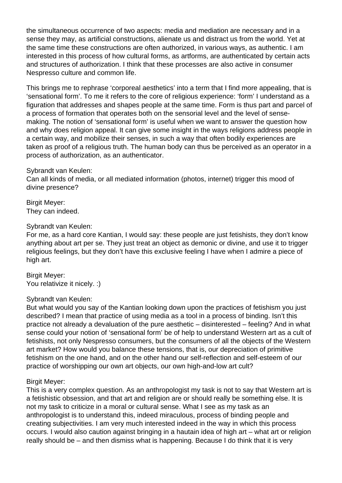the simultaneous occurrence of two aspects: media and mediation are necessary and in a sense they may, as artificial constructions, alienate us and distract us from the world. Yet at the same time these constructions are often authorized, in various ways, as authentic. I am interested in this process of how cultural forms, as artforms, are authenticated by certain acts and structures of authorization. I think that these processes are also active in consumer Nespresso culture and common life.

This brings me to rephrase 'corporeal aesthetics' into a term that I find more appealing, that is 'sensational form'. To me it refers to the core of religious experience: 'form' I understand as a figuration that addresses and shapes people at the same time. Form is thus part and parcel of a process of formation that operates both on the sensorial level and the level of sensemaking. The notion of 'sensational form' is useful when we want to answer the question how and why does religion appeal. It can give some insight in the ways religions address people in a certain way, and mobilize their senses, in such a way that often bodily experiences are taken as proof of a religious truth. The human body can thus be perceived as an operator in a process of authorization, as an authenticator.

#### Sybrandt van Keulen:

Can all kinds of media, or all mediated information (photos, internet) trigger this mood of divine presence?

Birgit Meyer: They can indeed.

#### Sybrandt van Keulen:

For me, as a hard core Kantian, I would say: these people are just fetishists, they don't know anything about art per se. They just treat an object as demonic or divine, and use it to trigger religious feelings, but they don't have this exclusive feeling I have when I admire a piece of high art.

Birgit Meyer: You relativize it nicely. :)

#### Sybrandt van Keulen:

But what would you say of the Kantian looking down upon the practices of fetishism you just described? I mean that practice of using media as a tool in a process of binding. Isn't this practice not already a devaluation of the pure aesthetic – disinterested – feeling? And in what sense could your notion of 'sensational form' be of help to understand Western art as a cult of fetishists, not only Nespresso consumers, but the consumers of all the objects of the Western art market? How would you balance these tensions, that is, our depreciation of primitive fetishism on the one hand, and on the other hand our self-reflection and self-esteem of our practice of worshipping our own art objects, our own high-and-low art cult?

#### Birgit Meyer:

This is a very complex question. As an anthropologist my task is not to say that Western art is a fetishistic obsession, and that art and religion are or should really be something else. It is not my task to criticize in a moral or cultural sense. What I see as my task as an anthropologist is to understand this, indeed miraculous, process of binding people and creating subjectivities. I am very much interested indeed in the way in which this process occurs. I would also caution against bringing in a hautain idea of high art – what art or religion really should be – and then dismiss what is happening. Because I do think that it is very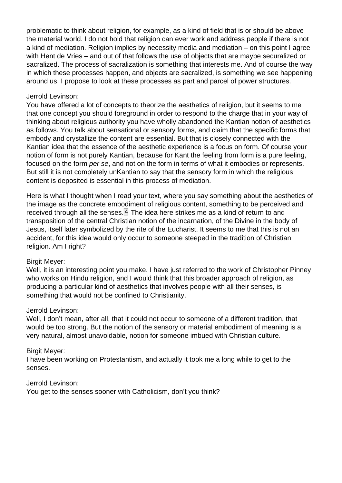problematic to think about religion, for example, as a kind of field that is or should be above the material world. I do not hold that religion can ever work and address people if there is not a kind of mediation. Religion implies by necessity media and mediation – on this point I agree with Hent de Vries – and out of that follows the use of objects that are maybe securalized or sacralized. The process of sacralization is something that interests me. And of course the way in which these processes happen, and objects are sacralized, is something we see happening around us. I propose to look at these processes as part and parcel of power structures.

# Jerrold Levinson:

You have offered a lot of concepts to theorize the aesthetics of religion, but it seems to me that one concept you should foreground in order to respond to the charge that in your way of thinking about religious authority you have wholly abandoned the Kantian notion of aesthetics as follows. You talk about sensational or sensory forms, and claim that the specific forms that embody and crystallize the content are essential. But that is closely connected with the Kantian idea that the essence of the aesthetic experience is a focus on form. Of course your notion of form is not purely Kantian, because for Kant the feeling from form is a pure feeling, focused on the form per se, and not on the form in terms of what it embodies or represents. But still it is not completely unKantian to say that the sensory form in which the religious content is deposited is essential in this process of mediation.

Here is what I thought when I read your text, where you say something about the aesthetics of the image as the concrete embodiment of religious content, something to be perceived and received through all the senses. $4$  The idea here strikes me as a kind of return to and transposition of the central Christian notion of the incarnation, of the Divine in the body of Jesus, itself later symbolized by the rite of the Eucharist. It seems to me that this is not an accident, for this idea would only occur to someone steeped in the tradition of Christian religion. Am I right?

# Birgit Meyer:

Well, it is an interesting point you make. I have just referred to the work of Christopher Pinney who works on Hindu religion, and I would think that this broader approach of religion, as producing a particular kind of aesthetics that involves people with all their senses, is something that would not be confined to Christianity.

# Jerrold Levinson:

Well, I don't mean, after all, that it could not occur to someone of a different tradition, that would be too strong. But the notion of the sensory or material embodiment of meaning is a very natural, almost unavoidable, notion for someone imbued with Christian culture.

# Birgit Meyer:

I have been working on Protestantism, and actually it took me a long while to get to the senses.

# Jerrold Levinson:

You get to the senses sooner with Catholicism, don't you think?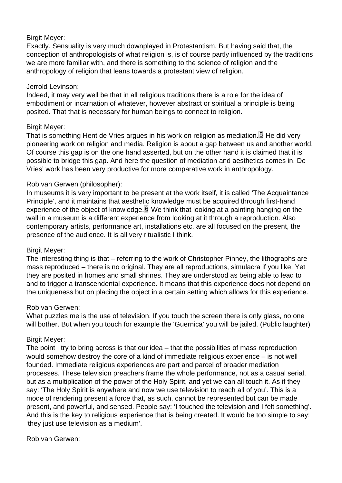## Birgit Meyer:

Exactly. Sensuality is very much downplayed in Protestantism. But having said that, the conception of anthropologists of what religion is, is of course partly influenced by the traditions we are more familiar with, and there is something to the science of religion and the anthropology of religion that leans towards a protestant view of religion.

## Jerrold Levinson:

Indeed, it may very well be that in all religious traditions there is a role for the idea of embodiment or incarnation of whatever, however abstract or spiritual a principle is being posited. That that is necessary for human beings to connect to religion.

## Birgit Meyer:

That is something Hent de Vries argues in his work on religion as mediation.  $5$  He did very pioneering work on religion and media. Religion is about a gap between us and another world. Of course this gap is on the one hand asserted, but on the other hand it is claimed that it is possible to bridge this gap. And here the question of mediation and aesthetics comes in. De Vries' work has been very productive for more comparative work in anthropology.

## Rob van Gerwen (philosopher):

In museums it is very important to be present at the work itself, it is called 'The Acquaintance Principle', and it maintains that aesthetic knowledge must be acquired through first-hand experience of the object of knowledge.  $6$  We think that looking at a painting hanging on the wall in a museum is a different experience from looking at it through a reproduction. Also contemporary artists, performance art, installations etc. are all focused on the present, the presence of the audience. It is all very ritualistic I think.

## Birgit Meyer:

The interesting thing is that – referring to the work of Christopher Pinney, the lithographs are mass reproduced – there is no original. They are all reproductions, simulacra if you like. Yet they are posited in homes and small shrines. They are understood as being able to lead to and to trigger a transcendental experience. It means that this experience does not depend on the uniqueness but on placing the object in a certain setting which allows for this experience.

## Rob van Gerwen:

What puzzles me is the use of television. If you touch the screen there is only glass, no one will bother. But when you touch for example the 'Guernica' you will be jailed. (Public laughter)

## Birgit Meyer:

The point I try to bring across is that our idea – that the possibilities of mass reproduction would somehow destroy the core of a kind of immediate religious experience – is not well founded. Immediate religious experiences are part and parcel of broader mediation processes. These television preachers frame the whole performance, not as a casual serial, but as a multiplication of the power of the Holy Spirit, and yet we can all touch it. As if they say: 'The Holy Spirit is anywhere and now we use television to reach all of you'. This is a mode of rendering present a force that, as such, cannot be represented but can be made present, and powerful, and sensed. People say: 'I touched the television and I felt something'. And this is the key to religious experience that is being created. It would be too simple to say: 'they just use television as a medium'.

Rob van Gerwen: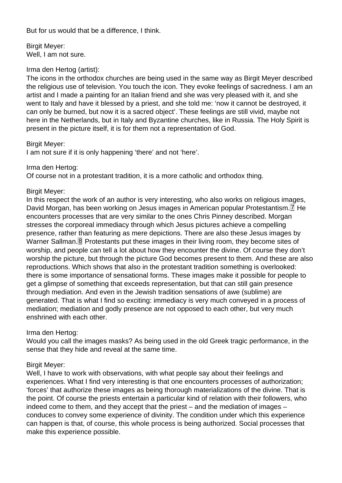<span id="page-9-0"></span>But for us would that be a difference, I think.

Birgit Meyer: Well, I am not sure.

## Irma den Hertog (artist):

The icons in the orthodox churches are being used in the same way as Birgit Meyer described the religious use of television. You touch the icon. They evoke feelings of sacredness. I am an artist and I made a painting for an Italian friend and she was very pleased with it, and she went to Italy and have it blessed by a priest, and she told me: 'now it cannot be destroyed, it can only be burned, but now it is a sacred object'. These feelings are still vivid, maybe not here in the Netherlands, but in Italy and Byzantine churches, like in Russia. The Holy Spirit is present in the picture itself, it is for them not a representation of God.

#### Birgit Meyer:

I am not sure if it is only happening 'there' and not 'here'.

#### Irma den Hertog:

Of course not in a protestant tradition, it is a more catholic and orthodox thing.

## Birgit Meyer:

In this respect the work of an author is very interesting, who also works on religious images, David Morgan, has been working on Jesus images in American popular Protestantism.<sup>[7]</sup> He encounters processes that are very similar to the ones Chris Pinney described. Morgan stresses the corporeal immediacy through which Jesus pictures achieve a compelling presence, rather than featuring as mere depictions. There are also these Jesus images by Warner Sallman.  $\&$  Protestants put these images in their living room, they become sites of worship, and people can tell a lot about how they encounter the divine. Of course they don't worship the picture, but through the picture God becomes present to them. And these are also reproductions. Which shows that also in the protestant tradition something is overlooked: there is some importance of sensational forms. These images make it possible for people to get a glimpse of something that exceeds representation, but that can still gain presence through mediation. And even in the Jewish tradition sensations of awe (sublime) are generated. That is what I find so exciting: immediacy is very much conveyed in a process of mediation; mediation and godly presence are not opposed to each other, but very much enshrined with each other.

## Irma den Hertog:

Would you call the images masks? As being used in the old Greek tragic performance, in the sense that they hide and reveal at the same time.

## Birgit Meyer:

Well, I have to work with observations, with what people say about their feelings and experiences. What I find very interesting is that one encounters processes of authorization; 'forces' that authorize these images as being thorough materializations of the divine. That is the point. Of course the priests entertain a particular kind of relation with their followers, who indeed come to them, and they accept that the priest – and the mediation of images – conduces to convey some experience of divinity. The condition under which this experience can happen is that, of course, this whole process is being authorized. Social processes that make this experience possible.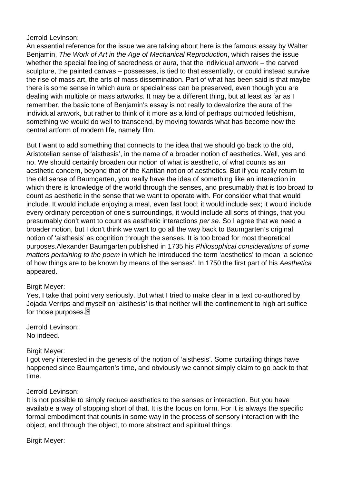#### <span id="page-10-0"></span>Jerrold Levinson:

An essential reference for the issue we are talking about here is the famous essay by Walter Benjamin, The Work of Art in the Age of Mechanical Reproduction, which raises the issue whether the special feeling of sacredness or aura, that the individual artwork – the carved sculpture, the painted canvas – possesses, is tied to that essentially, or could instead survive the rise of mass art, the arts of mass dissemination. Part of what has been said is that maybe there is some sense in which aura or specialness can be preserved, even though you are dealing with multiple or mass artworks. It may be a different thing, but at least as far as I remember, the basic tone of Benjamin's essay is not really to devalorize the aura of the individual artwork, but rather to think of it more as a kind of perhaps outmoded fetishism, something we would do well to transcend, by moving towards what has become now the central artform of modern life, namely film.

But I want to add something that connects to the idea that we should go back to the old, Aristotelian sense of 'aisthesis', in the name of a broader notion of aesthetics. Well, yes and no. We should certainly broaden our notion of what is aesthetic, of what counts as an aesthetic concern, beyond that of the Kantian notion of aesthetics. But if you really return to the old sense of Baumgarten, you really have the idea of something like an interaction in which there is knowledge of the world through the senses, and presumably that is too broad to count as aesthetic in the sense that we want to operate with. For consider what that would include. It would include enjoying a meal, even fast food; it would include sex; it would include every ordinary perception of one's surroundings, it would include all sorts of things, that you presumably don't want to count as aesthetic interactions per se. So I agree that we need a broader notion, but I don't think we want to go all the way back to Baumgarten's original notion of 'aisthesis' as cognition through the senses. It is too broad for most theoretical purposes.Alexander Baumgarten published in 1735 his Philosophical considerations of some matters pertaining to the poem in which he introduced the term 'aesthetics' to mean 'a science of how things are to be known by means of the senses'. In 1750 the first part of his Aesthetica appeared.

## Birgit Meyer:

Yes, I take that point very seriously. But what I tried to make clear in a text co-authored by Jojada Verrips and myself on 'aisthesis' is that neither will the confinement to high art suffice for those purposes.<sup>[9]</sup>

Jerrold Levinson: No indeed.

## Birgit Meyer:

I got very interested in the genesis of the notion of 'aisthesis'. Some curtailing things have happened since Baumgarten's time, and obviously we cannot simply claim to go back to that time.

#### Jerrold Levinson:

It is not possible to simply reduce aesthetics to the senses or interaction. But you have available a way of stopping short of that. It is the focus on form. For it is always the specific formal embodiment that counts in some way in the process of sensory interaction with the object, and through the object, to more abstract and spiritual things.

Birgit Meyer: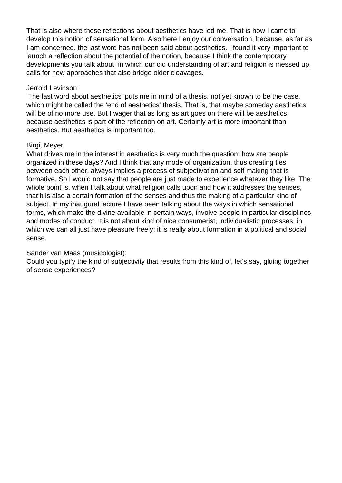That is also where these reflections about aesthetics have led me. That is how I came to develop this notion of sensational form. Also here I enjoy our conversation, because, as far as I am concerned, the last word has not been said about aesthetics. I found it very important to launch a reflection about the potential of the notion, because I think the contemporary developments you talk about, in which our old understanding of art and religion is messed up, calls for new approaches that also bridge older cleavages.

## Jerrold Levinson:

'The last word about aesthetics' puts me in mind of a thesis, not yet known to be the case, which might be called the 'end of aesthetics' thesis. That is, that maybe someday aesthetics will be of no more use. But I wager that as long as art goes on there will be aesthetics, because aesthetics is part of the reflection on art. Certainly art is more important than aesthetics. But aesthetics is important too.

## Birgit Meyer:

What drives me in the interest in aesthetics is very much the question: how are people organized in these days? And I think that any mode of organization, thus creating ties between each other, always implies a process of subjectivation and self making that is formative. So I would not say that people are just made to experience whatever they like. The whole point is, when I talk about what religion calls upon and how it addresses the senses, that it is also a certain formation of the senses and thus the making of a particular kind of subject. In my inaugural lecture I have been talking about the ways in which sensational forms, which make the divine available in certain ways, involve people in particular disciplines and modes of conduct. It is not about kind of nice consumerist, individualistic processes, in which we can all just have pleasure freely; it is really about formation in a political and social sense.

## Sander van Maas (musicologist):

Could you typify the kind of subjectivity that results from this kind of, let's say, gluing together of sense experiences?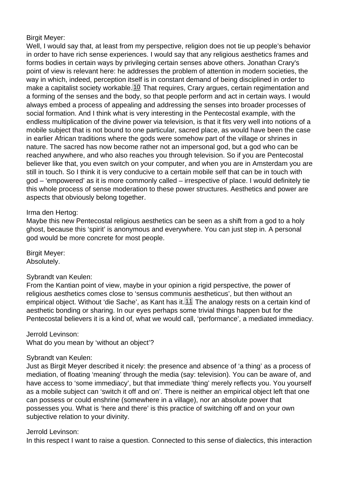## <span id="page-12-0"></span>Birgit Meyer:

Well, I would say that, at least from my perspective, religion does not tie up people's behavior in order to have rich sense experiences. I would say that any religious aesthetics frames and forms bodies in certain ways by privileging certain senses above others. Jonathan Crary's point of view is relevant here: he addresses the problem of attention in modern societies, the way in which, indeed, perception itself is in constant demand of being disciplined in order to make a capitalist society workable. 10 That requires, Crary argues, certain regimentation and a forming of the senses and the body, so that people perform and act in certain ways. I would always embed a process of appealing and addressing the senses into broader processes of social formation. And I think what is very interesting in the Pentecostal example, with the endless multiplication of the divine power via television, is that it fits very well into notions of a mobile subject that is not bound to one particular, sacred place, as would have been the case in earlier African traditions where the gods were somehow part of the village or shrines in nature. The sacred has now become rather not an impersonal god, but a god who can be reached anywhere, and who also reaches you through television. So if you are Pentecostal believer like that, you even switch on your computer, and when you are in Amsterdam you are still in touch. So I think it is very conducive to a certain mobile self that can be in touch with god – 'empowered' as it is more commonly called – irrespective of place. I would definitely tie this whole process of sense moderation to these power structures. Aesthetics and power are aspects that obviously belong together.

## Irma den Hertog:

Maybe this new Pentecostal religious aesthetics can be seen as a shift from a god to a holy ghost, because this 'spirit' is anonymous and everywhere. You can just step in. A personal god would be more concrete for most people.

Birgit Meyer: Absolutely.

## Sybrandt van Keulen:

From the Kantian point of view, maybe in your opinion a rigid perspective, the power of religious aesthetics comes close to 'sensus communis aestheticus', but then without an empirical object. Without 'die Sache', as Kant has it.<sup>[11]</sup> The analogy rests on a certain kind of aesthetic bonding or sharing. In our eyes perhaps some trivial things happen but for the Pentecostal believers it is a kind of, what we would call, 'performance', a mediated immediacy.

Jerrold Levinson:

What do you mean by 'without an object'?

#### Sybrandt van Keulen:

Just as Birgit Meyer described it nicely: the presence and absence of 'a thing' as a process of mediation, of floating 'meaning' through the media (say: television). You can be aware of, and have access to 'some immediacy', but that immediate 'thing' merely reflects you. You yourself as a mobile subject can 'switch it off and on'. There is neither an empirical object left that one can possess or could enshrine (somewhere in a village), nor an absolute power that possesses you. What is 'here and there' is this practice of switching off and on your own subjective relation to your divinity.

#### Jerrold Levinson:

In this respect I want to raise a question. Connected to this sense of dialectics, this interaction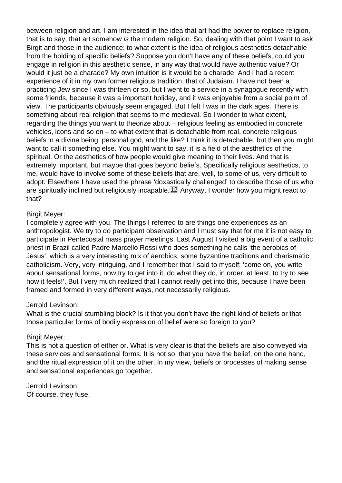between religion and art, I am interested in the idea that art had the power to replace religion, that is to say, that art somehow is the modern religion. So, dealing with that point I want to ask Birgit and those in the audience: to what extent is the idea of religious aesthetics detachable from the holding of specific beliefs? Suppose you don't have any of these beliefs, could you engage in religion in this aesthetic sense, in any way that would have authentic value? Or would it just be a charade? My own intuition is it would be a charade. And I had a recent experience of it in my own former religious tradition, that of Judaism. I have not been a practicing Jew since I was thirteen or so, but I went to a service in a synagogue recently with some friends, because it was a important holiday, and it was enjoyable from a social point of view. The participants obviously seem engaged. But I felt I was in the dark ages. There is something about real religion that seems to me medieval. So I wonder to what extent, regarding the things you want to theorize about – religious feeling as embodied in concrete vehicles, icons and so on – to what extent that is detachable from real, concrete religious beliefs in a divine being, personal god, and the like? I think it is detachable, but then you might want to call it something else. You might want to say, it is a field of the aesthetics of the spiritual. Or the aesthetics of how people would give meaning to their lives. And that is extremely important, but maybe that goes beyond beliefs. Specifically religious aesthetics, to me, would have to involve some of these beliefs that are, well, to some of us, very difficult to adopt. Elsewhere I have used the phrase 'doxastically challenged' to describe those of us who are spiritually inclined but religiously incapable. 12 Anyway, I wonder how you might react to that?

## Birgit Meyer:

I completely agree with you. The things I referred to are things one experiences as an anthropologist. We try to do participant observation and I must say that for me it is not easy to participate in Pentecostal mass prayer meetings. Last August I visited a big event of a catholic priest in Brazil called Padre Marcello Rossi who does something he calls 'the aerobics of Jesus', which is a very interesting mix of aerobics, some byzantine traditions and charismatic catholicism. Very, very intriguing, and I remember that I said to myself: 'come on, you write about sensational forms, now try to get into it, do what they do, in order, at least, to try to see how it feels!'. But I very much realized that I cannot really get into this, because I have been framed and formed in very different ways, not necessarily religious.

#### Jerrold Levinson:

What is the crucial stumbling block? Is it that you don't have the right kind of beliefs or that those particular forms of bodily expression of belief were so foreign to you?

#### Birgit Meyer:

This is not a question of either or. What is very clear is that the beliefs are also conveyed via these services and sensational forms. It is not so, that you have the belief, on the one hand, and the ritual expression of it on the other. In my view, beliefs or processes of making sense and sensational experiences go together.

Jerrold Levinson: Of course, they fuse.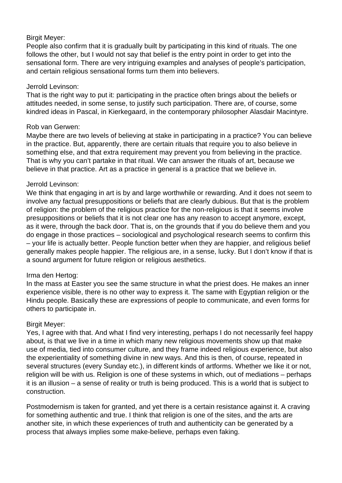## Birgit Meyer:

People also confirm that it is gradually built by participating in this kind of rituals. The one follows the other, but I would not say that belief is the entry point in order to get into the sensational form. There are very intriguing examples and analyses of people's participation, and certain religious sensational forms turn them into believers.

## Jerrold Levinson:

That is the right way to put it: participating in the practice often brings about the beliefs or attitudes needed, in some sense, to justify such participation. There are, of course, some kindred ideas in Pascal, in Kierkegaard, in the contemporary philosopher Alasdair Macintyre.

# Rob van Gerwen:

Maybe there are two levels of believing at stake in participating in a practice? You can believe in the practice. But, apparently, there are certain rituals that require you to also believe in something else, and that extra requirement may prevent you from believing in the practice. That is why you can't partake in that ritual. We can answer the rituals of art, because we believe in that practice. Art as a practice in general is a practice that we believe in.

# Jerrold Levinson:

We think that engaging in art is by and large worthwhile or rewarding. And it does not seem to involve any factual presuppositions or beliefs that are clearly dubious. But that is the problem of religion: the problem of the religious practice for the non-religious is that it seems involve presuppositions or beliefs that it is not clear one has any reason to accept anymore, except, as it were, through the back door. That is, on the grounds that if you do believe them and you do engage in those practices – sociological and psychological research seems to confirm this – your life is actually better. People function better when they are happier, and religious belief generally makes people happier. The religious are, in a sense, lucky. But I don't know if that is a sound argument for future religion or religious aesthetics.

# Irma den Hertog:

In the mass at Easter you see the same structure in what the priest does. He makes an inner experience visible, there is no other way to express it. The same with Egyptian religion or the Hindu people. Basically these are expressions of people to communicate, and even forms for others to participate in.

# Birgit Meyer:

Yes, I agree with that. And what I find very interesting, perhaps I do not necessarily feel happy about, is that we live in a time in which many new religious movements show up that make use of media, tied into consumer culture, and they frame indeed religious experience, but also the experientiality of something divine in new ways. And this is then, of course, repeated in several structures (every Sunday etc.), in different kinds of artforms. Whether we like it or not, religion will be with us. Religion is one of these systems in which, out of mediations – perhaps it is an illusion – a sense of reality or truth is being produced. This is a world that is subject to construction.

Postmodernism is taken for granted, and yet there is a certain resistance against it. A craving for something authentic and true. I think that religion is one of the sites, and the arts are another site, in which these experiences of truth and authenticity can be generated by a process that always implies some make-believe, perhaps even faking.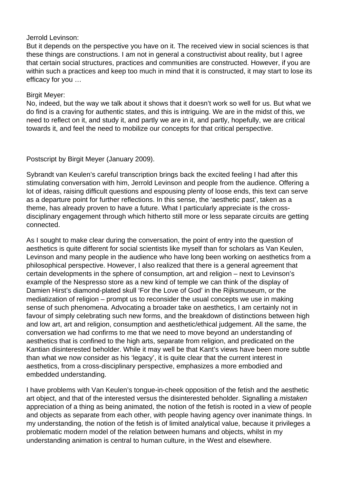## Jerrold Levinson:

But it depends on the perspective you have on it. The received view in social sciences is that these things are constructions. I am not in general a constructivist about reality, but I agree that certain social structures, practices and communities are constructed. However, if you are within such a practices and keep too much in mind that it is constructed, it may start to lose its efficacy for you …

## Birgit Meyer:

No, indeed, but the way we talk about it shows that it doesn't work so well for us. But what we do find is a craving for authentic states, and this is intriguing. We are in the midst of this, we need to reflect on it, and study it, and partly we are in it, and partly, hopefully, we are critical towards it, and feel the need to mobilize our concepts for that critical perspective.

Postscript by Birgit Meyer (January 2009).

Sybrandt van Keulen's careful transcription brings back the excited feeling I had after this stimulating conversation with him, Jerrold Levinson and people from the audience. Offering a lot of ideas, raising difficult questions and espousing plenty of loose ends, this text can serve as a departure point for further reflections. In this sense, the 'aesthetic past', taken as a theme, has already proven to have a future. What I particularly appreciate is the crossdisciplinary engagement through which hitherto still more or less separate circuits are getting connected.

As I sought to make clear during the conversation, the point of entry into the question of aesthetics is quite different for social scientists like myself than for scholars as Van Keulen, Levinson and many people in the audience who have long been working on aesthetics from a philosophical perspective. However, I also realized that there is a general agreement that certain developments in the sphere of consumption, art and religion – next to Levinson's example of the Nespresso store as a new kind of temple we can think of the display of Damien Hirst's diamond-plated skull 'For the Love of God' in the Rijksmuseum, or the mediatization of religion – prompt us to reconsider the usual concepts we use in making sense of such phenomena. Advocating a broader take on aesthetics, I am certainly not in favour of simply celebrating such new forms, and the breakdown of distinctions between high and low art, art and religion, consumption and aesthetic/ethical judgement. All the same, the conversation we had confirms to me that we need to move beyond an understanding of aesthetics that is confined to the high arts, separate from religion, and predicated on the Kantian disinterested beholder. While it may well be that Kant's views have been more subtle than what we now consider as his 'legacy', it is quite clear that the current interest in aesthetics, from a cross-disciplinary perspective, emphasizes a more embodied and embedded understanding.

I have problems with Van Keulen's tongue-in-cheek opposition of the fetish and the aesthetic art object, and that of the interested versus the disinterested beholder. Signalling a *mistaken* appreciation of a thing as being animated, the notion of the fetish is rooted in a view of people and objects as separate from each other, with people having agency over inanimate things. In my understanding, the notion of the fetish is of limited analytical value, because it privileges a problematic modern model of the relation between humans and objects, whilst in my understanding animation is central to human culture, in the West and elsewhere.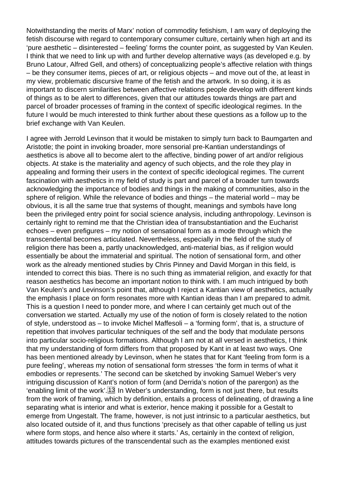Notwithstanding the merits of Marx' notion of commodity fetishism, I am wary of deploying the fetish discourse with regard to contemporary consumer culture, certainly when high art and its 'pure aesthetic – disinterested – feeling' forms the counter point, as suggested by Van Keulen. I think that we need to link up with and further develop alternative ways (as developed e.g. by Bruno Latour, Alfred Gell, and others) of conceptualizing people's affective relation with things – be they consumer items, pieces of art, or religious objects – and move out of the, at least in my view, problematic discursive frame of the fetish and the artwork. In so doing, it is as important to discern similarities between affective relations people develop with different kinds of things as to be alert to differences, given that our attitudes towards things are part and parcel of broader processes of framing in the context of specific ideological regimes. In the future I would be much interested to think further about these questions as a follow up to the brief exchange with Van Keulen.

I agree with Jerrold Levinson that it would be mistaken to simply turn back to Baumgarten and Aristotle; the point in invoking broader, more sensorial pre-Kantian understandings of aesthetics is above all to become alert to the affective, binding power of art and/or religious objects. At stake is the materiality and agency of such objects, and the role they play in appealing and forming their users in the context of specific ideological regimes. The current fascination with aesthetics in my field of study is part and parcel of a broader turn towards acknowledging the importance of bodies and things in the making of communities, also in the sphere of religion. While the relevance of bodies and things – the material world – may be obvious, it is all the same true that systems of thought, meanings and symbols have long been the privileged entry point for social science analysis, including anthropology. Levinson is certainly right to remind me that the Christian idea of transubstantiation and the Eucharist echoes – even prefigures – my notion of sensational form as a mode through which the transcendental becomes articulated. Nevertheless, especially in the field of the study of religion there has been a, partly unacknowledged, anti-material bias, as if religion would essentially be about the immaterial and spiritual. The notion of sensational form, and other work as the already mentioned studies by Chris Pinney and David Morgan in this field, is intended to correct this bias. There is no such thing as immaterial religion, and exactly for that reason aesthetics has become an important notion to think with. I am much intrigued by both Van Keulen's and Levinson's point that, although I reject a Kantian view of aesthetics, actually the emphasis I place on form resonates more with Kantian ideas than I am prepared to admit. This is a question I need to ponder more, and where I can certainly get much out of the conversation we started. Actually my use of the notion of form is closely related to the notion of style, understood as – to invoke Michel Maffesoli – a 'forming form', that is, a structure of repetition that involves particular techniques of the self and the body that modulate persons into particular socio-religious formations. Although I am not at all versed in aesthetics, I think that my understanding of form differs from that proposed by Kant in at least two ways. One has been mentioned already by Levinson, when he states that for Kant 'feeling from form is a pure feeling', whereas my notion of sensational form stresses 'the form in terms of what it embodies or represents.' The second can be sketched by invoking Samuel Weber's very intriguing discussion of Kant's notion of form (and Derrida's notion of the parergon) as the 'enabling limit of the work'. $\frac{13}{1}$  In Weber's understanding, form is not just there, but results from the work of framing, which by definition, entails a process of delineating, of drawing a line separating what is interior and what is exterior, hence making it possible for a Gestalt to emerge from Ungestalt. The frame, however, is not just intrinsic to a particular aesthetics, but also located outside of it, and thus functions 'precisely as that other capable of telling us just where form stops, and hence also where it starts.' As, certainly in the context of religion, attitudes towards pictures of the transcendental such as the examples mentioned exist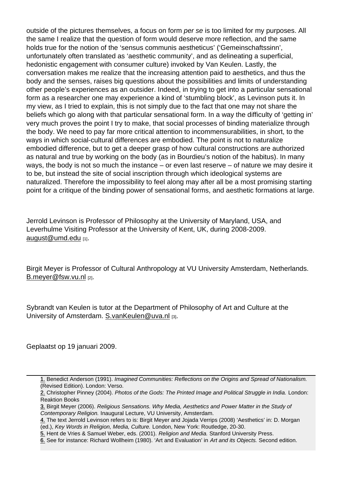outside of the pictures themselves, a focus on form per se is too limited for my purposes. All the same I realize that the question of form would deserve more reflection, and the same holds true for the notion of the 'sensus communis aestheticus' ('Gemeinschaftssinn', unfortunately often translated as 'aesthetic community', and as delineating a superficial, hedonistic engagement with consumer culture) invoked by Van Keulen. Lastly, the conversation makes me realize that the increasing attention paid to aesthetics, and thus the body and the senses, raises big questions about the possibilities and limits of understanding other people's experiences as an outsider. Indeed, in trying to get into a particular sensational form as a researcher one may experience a kind of 'stumbling block', as Levinson puts it. In my view, as I tried to explain, this is not simply due to the fact that one may not share the beliefs which go along with that particular sensational form. In a way the difficulty of 'getting in' very much proves the point I try to make, that social processes of binding materialize through the body. We need to pay far more critical attention to incommensurabilities, in short, to the ways in which social-cultural differences are embodied. The point is not to naturalize embodied difference, but to get a deeper grasp of how cultural constructions are authorized as natural and true by working on the body (as in Bourdieu's notion of the habitus). In many ways, the body is not so much the instance – or even last reserve – of nature we may desire it to be, but instead the site of social inscription through which ideological systems are naturalized. Therefore the impossibility to feel along may after all be a most promising starting point for a critique of the binding power of sensational forms, and aesthetic formations at large.

Jerrold Levinson is Professor of Philosophy at the University of Maryland, USA, and Leverhulme Visiting Professor at the University of Kent, UK, during 2008-2009. august@umd.edu [1].

[Birgit Meyer is Pro](mailto:august@umd.edu)fessor of Cultural Anthropology at VU University Amsterdam, Netherlands. B.meyer@fsw.vu.nl [2].

[Sybrandt van Keule](mailto:Netherlands.B.meyer@fsw.vu.nl)n is tutor at the Department of Philosophy of Art and Culture at the University of Amsterdam. S.vanKeulen@uva.nl [3].

Geplaatst op 19 januari 2[009.](mailto:S.vanKeulen@uva.nl)

- [4.](#page-5-0) The text Jerrold Levinson refers to is: Birgit Meyer and Jojada Verrips (2008) 'Aesthetics' in: D. Morgan (ed.), Key Words in Religion, Media, Culture. London, New York: Routledge, 20-30.
- [5.](#page-5-0) Hent de Vries & Samuel Weber, eds. (2001). Religion and Media. Stanford University Press.
- 6. See for instance: Richard Wollheim (1980). 'Art and Evaluation' in Art and its Objects. Second edition.

<sup>1.</sup> Benedict Anderson (1991). Imagined Communities: Reflections on the Origins and Spread of Nationalism. (Revised Edition). London: Verso.

<sup>2.</sup> Christopher Pinney (2004). Photos of the Gods: The Printed Image and Political Struggle in India. London: Reaktion Books

[<sup>3.</sup>](#page-5-0) Birgit Meyer (2006). Religious Sensations. Why Media, Aesthetics and Power Matter in the Study of 3. Contemporary Religion. Inaugural Lecture, VU University, Amsterdam.